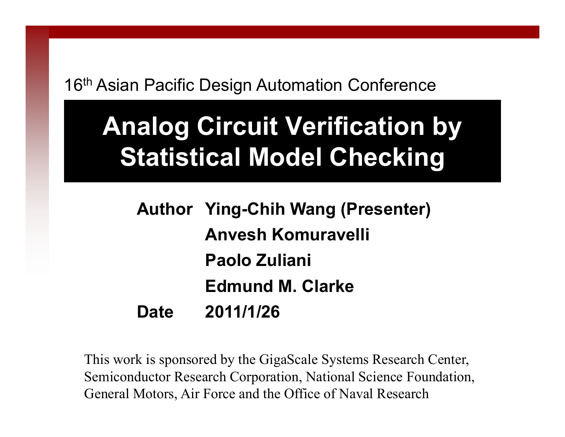16<sup>th</sup> Asian Pacific Design Automation Conference

# **Analog Circuit Verification by Statistical Model Checking**

**Author Ying-Chih Wang (Presenter) Anvesh Komuravelli Paolo ZulianiEdmund M. ClarkeDate 2011/1/26**

This work is sponsored by the GigaScale Systems Research Center, Semiconductor Research Corporation, National Science Foundation, General Motors, Air Force and the Office of Naval Research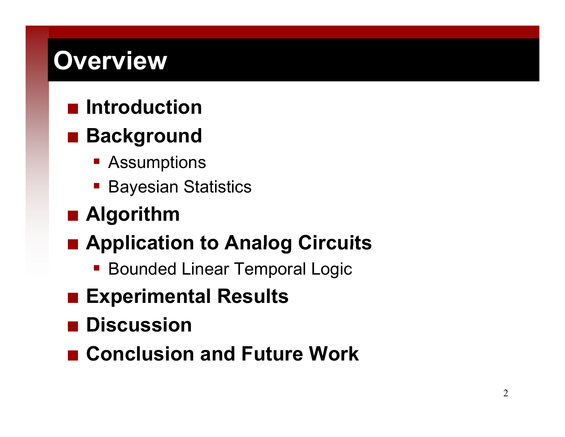# **Overview**

#### **■ Introduction**

#### **■ Background**

- Assumptions
- $\mathcal{L}(\mathcal{L})$ Bayesian Statistics

#### **Algorithm**

#### **Application to Analog Circuits**

- Bounded Linear Temporal Logic
- **Experimental Results**
- **Discussion**
- **Conclusion and Future Work**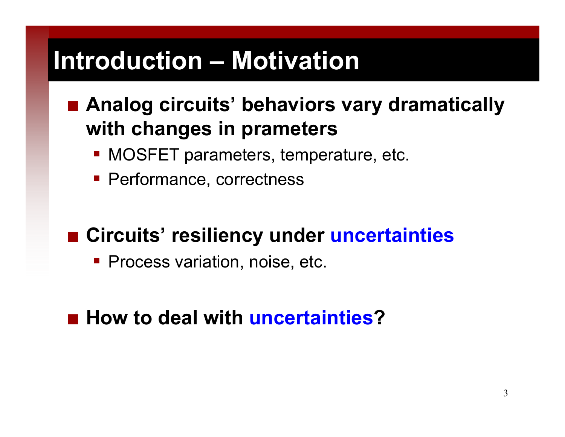## **Introduction – Motivation**

#### ■ Analog circuits' behaviors vary dramatically **with chan g p es in prameters**

- **MOSFET parameters, temperature, etc.**
- **Performance, correctness**

#### **■ Circuits' resiliency under uncertainties**

**Process variation, noise, etc.** 

#### ■ How to deal with uncertainties?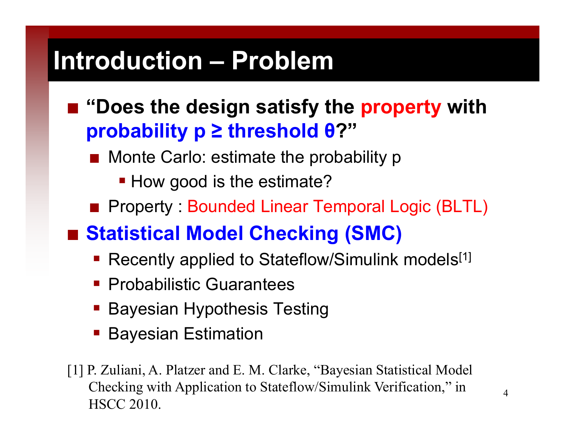## **Introduction – Problem**

- "Does the design satisfy the **property** with **probability p ≥ threshold θ ? "**
	- Monte Carlo: estimate the probability p
		- **How good is the estimate?**
	- Property: Bounded Linear Temporal Logic (BLTL)
- **Statistical Model Checking (SMC)**
	- Recently applied to Stateflow/Simulink models<sup>[1]</sup>
	- **Probabilistic Guarantees**
	- Bayesian Hypothesis Testing
	- Bayesian Estimation
- [1] P. Zuliani, A. Platzer and E. M. Clarke, "Bayesian Statistical Model Checking with Application to Stateflow/Simulink Verification," in HSCC 2010.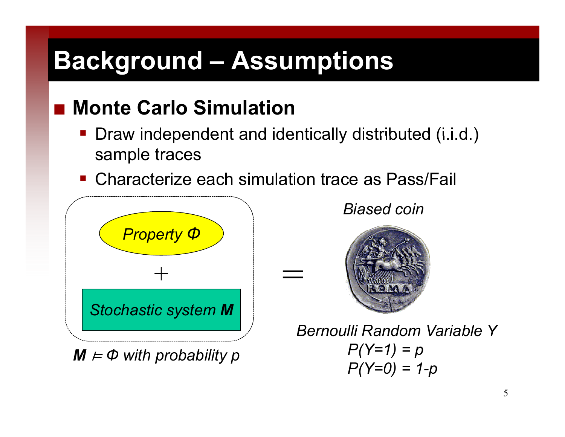# **Background – Assumptions**

#### **Monte Carlo Simulation**

Draw independent and identically distributed (i.i.d.) sample traces

=

■ Characterize each simulation trace as Pass/Fail



 $M \models \Phi$  with probability  $\rho$ 

*Biased coin*



*Bernoulli Random Variable Y P (Y=1 ) = p*  $P(Y=0) = 1-p$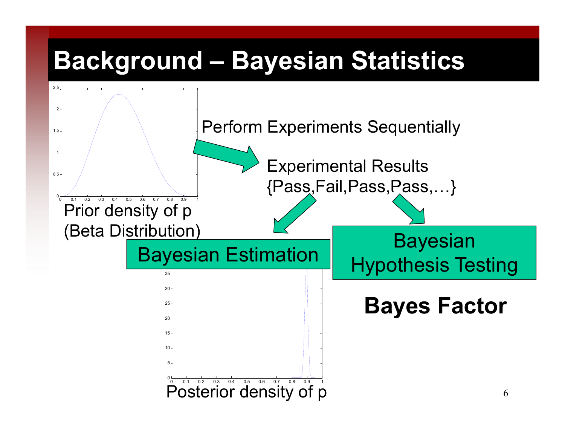## **Background – Bayesian Statistics**

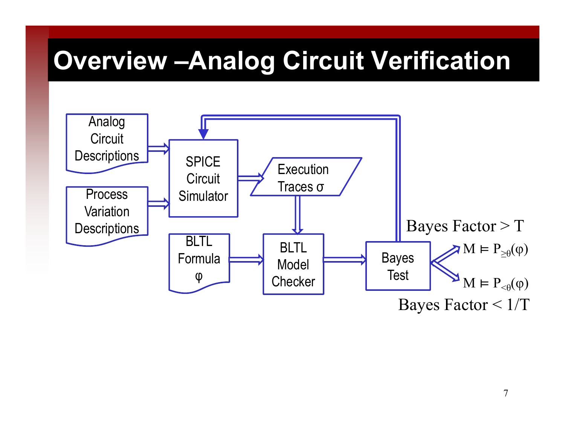## **Overview –Analog Circuit Verification**

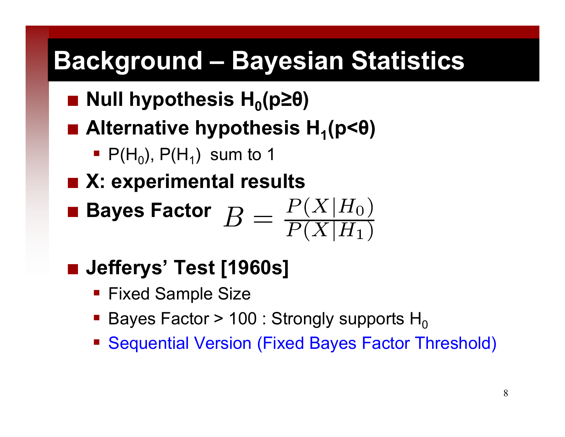## **Background – Bayesian Statistics**

- **Null hypothesis H 0(p≥θ )**
- Alternative hypothesis H<sub>1</sub>(p<θ)
	- P(H<sub>0</sub>), P(H<sub>1</sub>) sum to 1
- X: experimental results
- **Bayes Factor**
- **Jefferys' Test [1960s]**
	- Fixed Sample Size
	- Bayes Factor > 100 : Strongly supports  $H_0$
	- Sequential Version (Fixed Bayes Factor Threshold)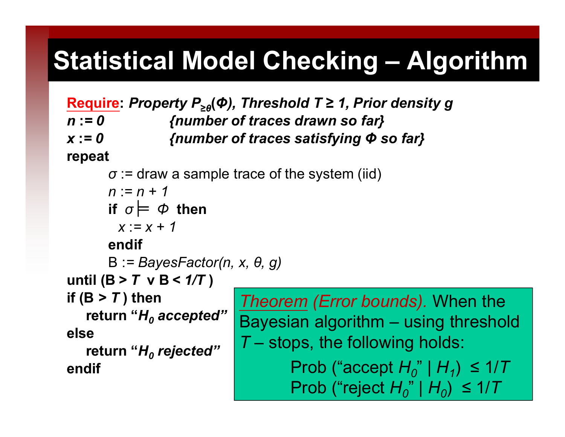# **Statistical Model Checking – Algorithm**

**Require:** *Property P***<sup>≥</sup>***θ***(** *Φ), Threshold T ≥ 1, Prior density g <sup>n</sup>***:***= 0 {number of traces drawn so far} x* **:***= 0 { b f t ti f i {num ber o traces satis fying Φ so f } ar* **repeat** *σ* := draw a sample trace of the system (iid) *n* :*=n+1* **if**  $\sigma \models \Phi$  then *x* :*= x + 1***endif**B :*= BayesFactor(n, x, θ, g)* **until (B** *> T* **<sup>v</sup> B** *< 1/T*  **)** *if*  $(B > T)$  then *(Error bounds)* When the **return "** *bounds). H0 accepted"* **elsereturn "** *H0 rejected"* Bayesian algorithm – using threshold *T* – stops, the following holds: *rejected* **endif**Prob ("accept *H <sup>0</sup>*" | *H 1*) ≤ 1/ *T* Prob ("reject *H <sup>0</sup>*" | *H 0*) ≤ 1/ *T*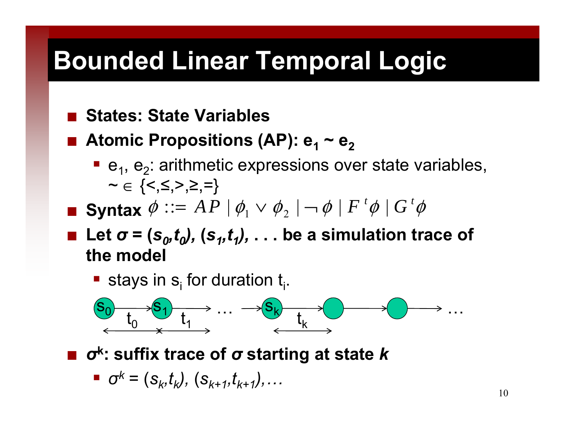# **Bounded Linear Temporal Logic**

#### $\mathbb{R}^2$ **States: State Variables**

- $\blacksquare$  Atomic Propositions (AP):  $e_1 \sim e_2$ 
	- $\blacksquare$  e<sub>1</sub>, e<sub>2</sub>: arithmetic expressions over state variables, ~ $\boldsymbol{\mathsf{\sim}}\in\{\mathopen{<},\mathopen{\leq},\mathclose{>},\mathclose{\geq},\mathclose{\equiv}\}$
- Syntax  $\phi$  ::=  $AP$   $\mid \phi_1 \vee \phi_2 \mid \neg \phi \mid F$   $^t\phi \mid G$   $^t\phi$
- **<u><b>•** Let  $\sigma$  = (s<sub>0</sub>,t<sub>0</sub>), (s<sub>1</sub>,t<sub>1</sub>),  $\dots$  be a simulation trace of</u> **the model**
	- **stays in s** for duration  $t_i$ .



*<sup>σ</sup>***k: suffix trace of** *σ* **starting at state** *k* **: of**

$$
\bullet \quad \sigma^k = (s_k, t_k), \ (s_{k+1}, t_{k+1}), \ldots
$$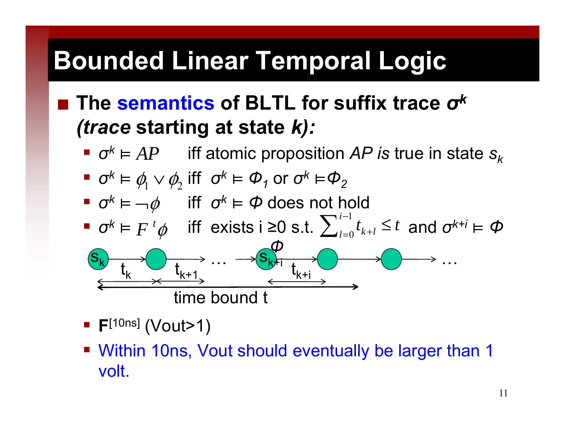# **Bounded Linear Temporal Logic**

#### **The semantics of BLTL for suffix trace**  *<sup>σ</sup><sup>k</sup> (trace* **startin g at state**  *k) :*

- $\bullet$  *σ<sup><i>k*</sup> = *AP* iff atomic proposition *AP is* true in state  $s_k$
- $\sigma^k$  ⊨  $\phi_1 \vee \phi_2$  iff  $\sigma^k$  ⊨  $\Phi_1$  or  $\sigma^k$  ⊨ $\Phi_2$
- $\bullet$  *σ<sup>k</sup>* =  $\rightarrow \phi$  iff *σ<sup>k</sup>* = *Φ* does not hold
- **■**  $\sigma^k$   $\models$   $F^t$   $\phi$  iff exists i ≥0 s.t.  $\sum_{i=0}^{n} t_{k+i} \leq t$  and  $\sigma^{k+i}$   $\models \phi$  $F^{\,i}\phi$  iff exists i ≥0 s.t.  $\sum_{l=0}^{i-1}$ *i*  $\sum_{l=0}^{i-1} t_{k+l} \leq t$



- **F**[10ns] (Vout>1)
- Within 10ns, Vout should eventually be larger than 1 volt.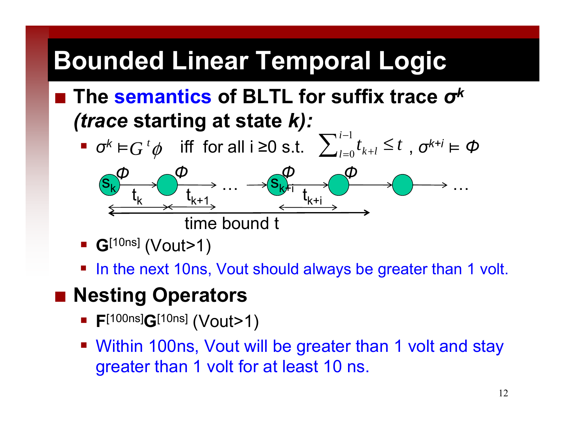# **Bounded Linear Temporal Logic**

- **The semantics of BLTL for suffix trace**  *<sup>σ</sup><sup>k</sup> (trace* **starting at state** *k):*
	- $\bullet$  *σ*<sup>*k*</sup>  $\models G$ <sup>*t*</sup> $\phi$  iff for all i ≥0 s.t.  $\sum_{l=0}^{i-1} t_{k+l} \le t$ ,  $\sigma^{k+i} \models \phi$  $t_{l=0}$   $t_{k+l} \leq t$  $=0$   $k+n$ ≤ sk… $\mathbf{S}_{\mathsf{K}}$ Hi …ttt*ФФФФ* $k$   $t_{k+1}$   $\longrightarrow$   $t_{k+1}$  $\mathfrak{t}_{\mathsf{k}^+1}$  $\mathfrak{t}_{\mathsf{k}^+\mathsf{i}}$ time bound t
	- **G**[10ns] (Vout>1)
	- In the next 10ns, Vout should always be greater than 1 volt.

#### **Nesting Operators**

- **F**<sup>[100ns]</sup>**G**<sup>[10ns]</sup> (Vout>1)
- Within 100ns, Vout will be greater than 1 volt and stay greater than 1 volt for at least 10 ns.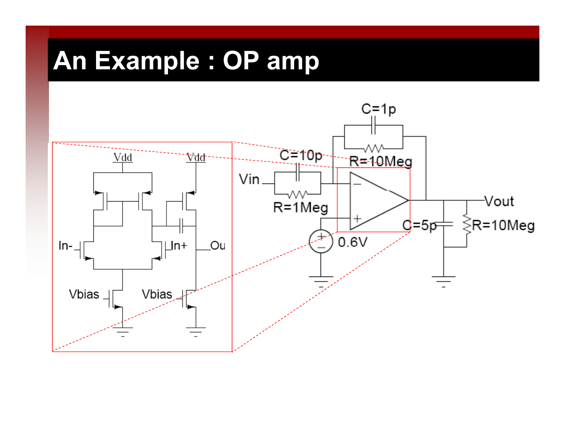# **An Example : OP amp**

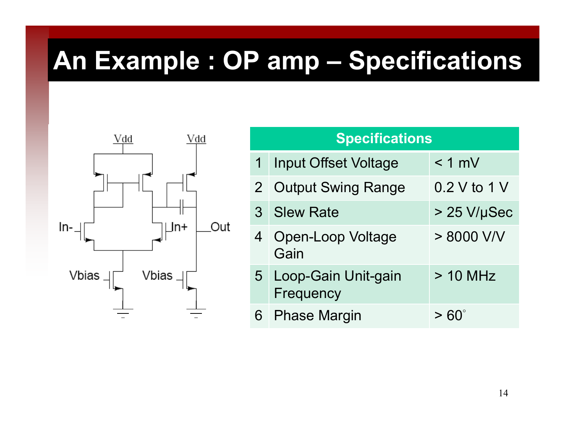# **An Example : OP amp – Specifications**



| <b>Specifications</b> |                                    |              |  |  |  |  |
|-----------------------|------------------------------------|--------------|--|--|--|--|
| 1 <sup>1</sup>        | <b>Input Offset Voltage</b>        | $< 1$ mV     |  |  |  |  |
|                       | 2 Output Swing Range               | 0.2 V to 1 V |  |  |  |  |
|                       | 3 Slew Rate                        | > 25 V/µSec  |  |  |  |  |
|                       | 4 Open-Loop Voltage<br>Gain        | > 8000 V/V   |  |  |  |  |
|                       | 5 Loop-Gain Unit-gain<br>Frequency | $> 10$ MHz   |  |  |  |  |
|                       | 6 Phase Margin                     | > 60°        |  |  |  |  |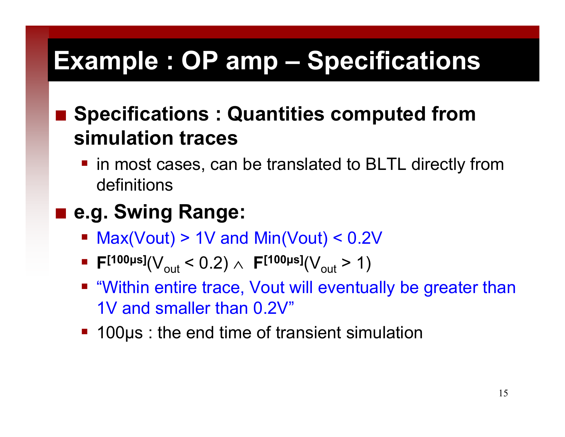# **Example : OP amp – Specifications**

#### ■ Specifications : Quantities computed from **simulation traces**

■ in most cases, can be translated to BLTL directly from definitions

#### ■ e.g. Swing Range:

- $\blacksquare$  Max(Vout) > 1V and Min(Vout) < 0.2V
- F<sup>[100μs]</sup>(V<sub>out</sub> < 0.2) ∧ F<sup>[100μs]</sup>(V<sub>out</sub> > 1)
- "Within entire trace, Vout will eventually be greater than 1V and smaller than 0.2V"
- 100µs : the end time of transient simulation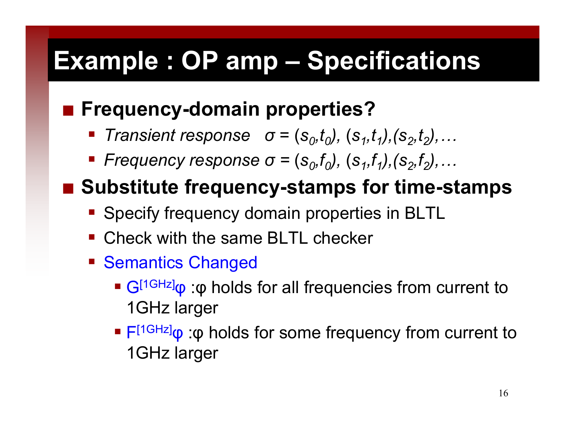# **Example : OP amp - Specifications**

#### **Frequency-domain properties?**

- $\sigma = (s_0, t_0), (s_1, t_1), (s_2, t_2), \ldots$
- **•** Frequency response  $\sigma = (s_0, t_0)$ ,  $(s_1, t_1)$ ,  $(s_2, t_2)$ , ...

#### ■ Substitute frequency-stamps for time-stamps

- **Specify frequency domain properties in BLTL**
- Check with the same BLTL checker
- **Semantics Changed** 
	- G<sup>[1GHz]</sup>φ :φ holds for all frequencies from current to 1GHz large r
	- F<sup>[1GHz]</sup>φ :φ holds for some frequency from current to 1GHz larger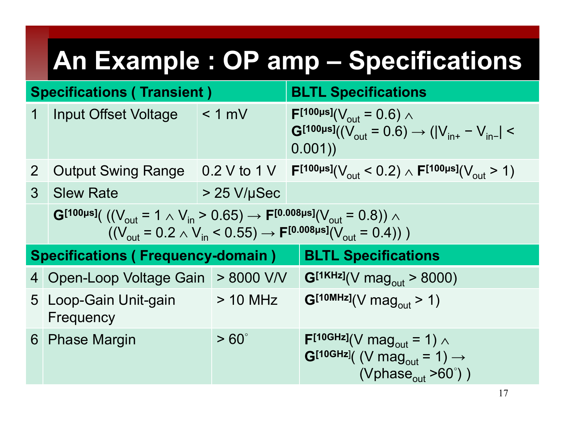# **An Example : OP amp – Specifications**

| <b>Specifications (Transient)</b> |                                                                                                                                                                                                                    |                  | <b>BLTL Specifications</b>                                                                                                                          |  |  |  |  |
|-----------------------------------|--------------------------------------------------------------------------------------------------------------------------------------------------------------------------------------------------------------------|------------------|-----------------------------------------------------------------------------------------------------------------------------------------------------|--|--|--|--|
| $\mathbf 1$                       | <b>Input Offset Voltage</b>                                                                                                                                                                                        | < 1 mV           | $F^{[100\mu s]}(V_{\text{out}}=0.6)$ $\wedge$<br>$G^{[100\mu s]}((V_{\text{out}} = 0.6) \rightarrow ( V_{\text{in}+} - V_{\text{in}+}  <$<br>0.001) |  |  |  |  |
| 2 <sup>1</sup>                    | <b>Output Swing Range</b>                                                                                                                                                                                          |                  | 0.2 V to 1 V $\begin{bmatrix} \mathsf{F}^{[100\mu s]}(V_{\text{out}} < 0.2) \wedge \mathsf{F}^{[100\mu s]}(V_{\text{out}} > 1) \end{bmatrix}$       |  |  |  |  |
|                                   | 3 Slew Rate                                                                                                                                                                                                        | $\geq$ 25 V/µSec |                                                                                                                                                     |  |  |  |  |
|                                   | G[100µs]( $((V_{out} = 1 \wedge V_{in} > 0.65) \rightarrow F^{[0.008\mu s]}(V_{out} = 0.8))$ $\wedge$<br>$((V_{\text{out}} = 0.2 \wedge V_{\text{in}} < 0.55) \rightarrow F^{[0.008\mu s]}(V_{\text{out}} = 0.4))$ |                  |                                                                                                                                                     |  |  |  |  |
|                                   | Specifications (Frequency-domain)                                                                                                                                                                                  |                  | <b>BLTL Specifications</b>                                                                                                                          |  |  |  |  |
|                                   | 4 Open-Loop Voltage Gain > 8000 V/V                                                                                                                                                                                |                  | $G^{[1KHz]}(V \text{ mag}_{out} > 8000)$                                                                                                            |  |  |  |  |
|                                   | 5 Loop-Gain Unit-gain<br>Frequency                                                                                                                                                                                 | $> 10$ MHz       | $G^{[10MHz]}(V magout > 1)$                                                                                                                         |  |  |  |  |
|                                   | 6 Phase Margin                                                                                                                                                                                                     | $> 60^\circ$     | $F[10GHz](V mag_{out} = 1) \wedge$<br>$G^{[10GHz]}$ ( (V mag <sub>out</sub> = 1) $\rightarrow$<br>(Vphase <sub>out</sub> $>60^\circ$ ))             |  |  |  |  |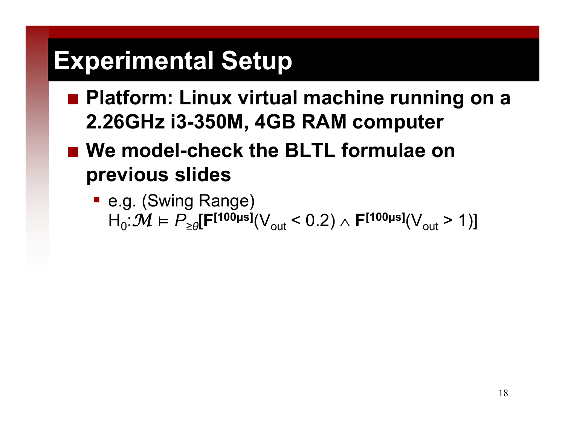## **Experimental Setup**

- Platform: Linux virtual machine running on a **2.26GHz i3-350M, 4GB RAM computer**
- We model-check the BLTL formulae on **previous slides**
	- e.g. (Swing Range)  $\textsf{H}_{0} \text{:} \mathcal{M} \models P_{\geq \theta}[\textsf{F}^{[\textsf{100}\mu\textsf{s}]}(\textsf{V}_{\textsf{out}}< 0.2) \land \textsf{F}^{[\textsf{100}\mu\textsf{s}]}(\textsf{V}_{\textsf{out}}> 1)]$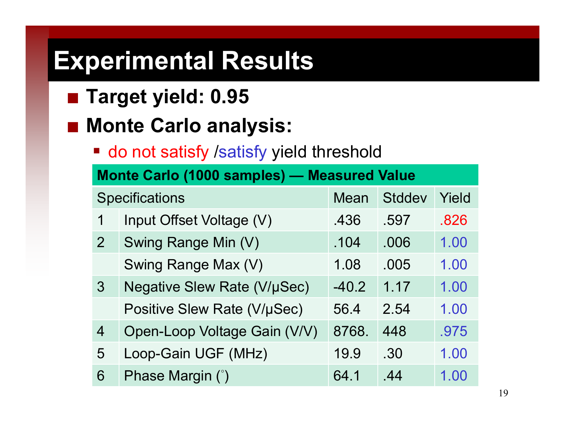- **Target yield: 0.95**
- Monte Carlo analysis:
	- do not satisfy /satisfy yield threshold

| <b>Monte Carlo (1000 samples) - Measured Value</b> |                                    |         |        |       |  |  |  |
|----------------------------------------------------|------------------------------------|---------|--------|-------|--|--|--|
|                                                    | <b>Specifications</b>              | Mean    | Stddev | Yield |  |  |  |
| 1                                                  | Input Offset Voltage (V)           | .436    | .597   | .826  |  |  |  |
| $\overline{2}$                                     | Swing Range Min (V)                | .104    | .006   | 1.00  |  |  |  |
|                                                    | Swing Range Max (V)                | 1.08    | .005   | 1.00  |  |  |  |
| $\mathcal{S}$                                      | <b>Negative Slew Rate (V/µSec)</b> | $-40.2$ | 1.17   | 1.00  |  |  |  |
|                                                    | Positive Slew Rate (V/µSec)        | 56.4    | 2.54   | 1.00  |  |  |  |
| 4                                                  | Open-Loop Voltage Gain (V/V)       | 8768.   | 448    | .975  |  |  |  |
| 5                                                  | Loop-Gain UGF (MHz)                | 19.9    | .30    | 1.00  |  |  |  |
| 6                                                  | Phase Margin (°)                   | 64.1    | .44    | 1.00  |  |  |  |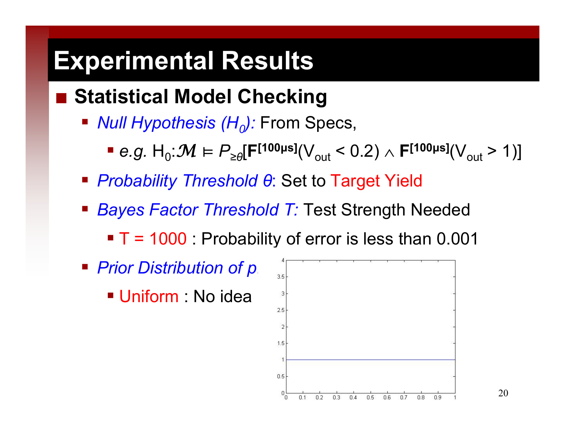#### **Statistical Model Checking**

- *Null Hypothesis (H<sub>o</sub>):* From Specs,
	- *e.g.*  $H_0: \mathcal{M} \models P_{\geq \theta}[\mathsf{F}^{[100\mu s]}(V_{\text{out}} < 0.2) \land \mathsf{F}^{[100\mu s]}(V_{\text{out}} > 1)]$
- *Probability Threshold θ*: Set to Target Yield
- *Bayes Factor Threshold T:* Test Strength Needed
	- $\blacksquare$  T = 1000 : Probability of error is less than 0.001
- *Prior Distribution of p:*
	- Uniform : No idea

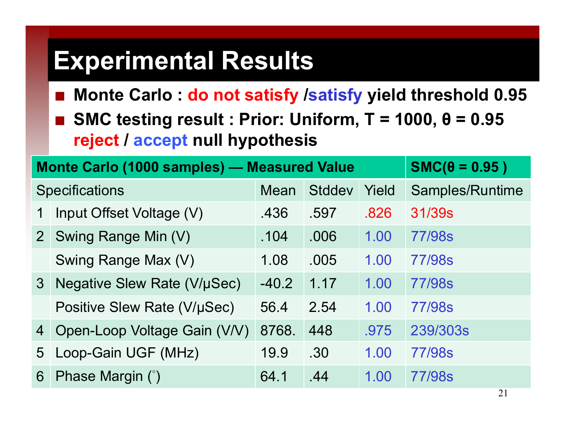- **Monte Carlo : do not satisfy /satisfy yield threshold 0.95**
- **SMC testing result : Prior: Uniform, T = 1000, θ = 0.95 rej t ec / accep t null h th i ll hypothesis**

|                | <b>Monte Carlo (1000 samples) - Measured Value</b> | $SMC(\theta = 0.95)$ |               |       |                 |
|----------------|----------------------------------------------------|----------------------|---------------|-------|-----------------|
|                | <b>Specifications</b>                              | Mean                 | <b>Stddev</b> | Yield | Samples/Runtime |
|                | Input Offset Voltage (V)                           | .436                 | .597          | .826  | 31/39s          |
| 2 <sup>1</sup> | Swing Range Min (V)                                | .104                 | .006          | 1.00  | 77/98s          |
|                | Swing Range Max (V)                                | 1.08                 | .005          | 1.00  | 77/98s          |
| 3 <sup>°</sup> | Negative Slew Rate (V/µSec)                        | $-40.2$              | 1.17          | 1.00  | 77/98s          |
|                | Positive Slew Rate (V/µSec)                        | 56.4                 | 2.54          | 1.00  | <b>77/98s</b>   |
| $\overline{4}$ | Open-Loop Voltage Gain (V/V)                       | 8768.                | 448           | .975  | 239/303s        |
| 5 <sup>5</sup> | Loop-Gain UGF (MHz)                                | 19.9                 | .30           | 1.00  | 77/98s          |
| 6              | Phase Margin (°)                                   | 64.1                 | .44           | 1.00  | <b>77/98s</b>   |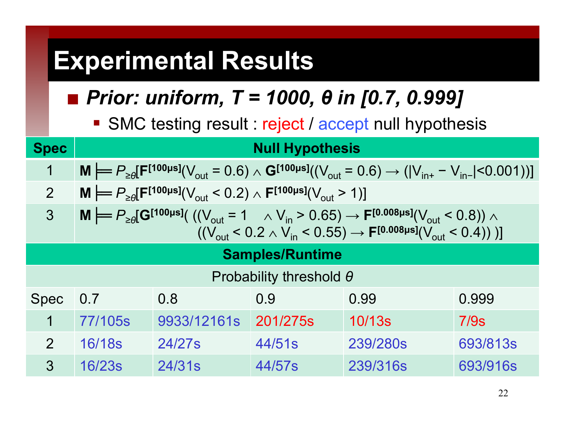#### *Prior: uniform, T = 1000, θ in [0.7, 0.999]*

SMC testing result : reject / accept null hypothesis

| <b>Spec</b>                    | <b>Null Hypothesis</b>                                                                                                                                                                                                                                                    |             |          |          |          |  |  |  |
|--------------------------------|---------------------------------------------------------------------------------------------------------------------------------------------------------------------------------------------------------------------------------------------------------------------------|-------------|----------|----------|----------|--|--|--|
| 1                              | $M \models P_{\geq 0} [F^{[100\mu s]}(V_{\text{out}} = 0.6) \wedge G^{[100\mu s]}((V_{\text{out}} = 0.6) \rightarrow ( V_{\text{in}+} - V_{\text{in} -}  < 0.001))]$                                                                                                      |             |          |          |          |  |  |  |
| $\overline{2}$                 | $\mathbf{M} \models P_{\geq \theta}[\mathbf{F}^{[100\mu s]}(V_{\text{out}} < 0.2) \wedge \mathbf{F}^{[100\mu s]}(V_{\text{out}} > 1)]$                                                                                                                                    |             |          |          |          |  |  |  |
| $\mathfrak{Z}$                 | <b>M</b> $\models P_{\geq \theta}[\mathbf{G}^{[100\mu s]}((V_{\text{out}} = 1 \quad \land V_{\text{in}} > 0.65) \rightarrow \mathbf{F}^{[0.008\mu s]}(V_{\text{out}} < 0.8))$ ∧<br>$((V_{out} < 0.2 \wedge V_{in} < 0.55) \rightarrow F^{[0.008\mu s]}(V_{out} < 0.4))$ ] |             |          |          |          |  |  |  |
| <b>Samples/Runtime</b>         |                                                                                                                                                                                                                                                                           |             |          |          |          |  |  |  |
| Probability threshold $\theta$ |                                                                                                                                                                                                                                                                           |             |          |          |          |  |  |  |
| <b>Spec</b>                    | 0.8<br>0.9<br>0.99<br>0.999<br>$\vert 0.7 \vert$                                                                                                                                                                                                                          |             |          |          |          |  |  |  |
| 1                              | 77/105s                                                                                                                                                                                                                                                                   | 9933/12161s | 201/275s | 10/13s   | 7/9s     |  |  |  |
| $\overline{2}$                 | 16/18s                                                                                                                                                                                                                                                                    | 24/27s      | 44/51s   | 239/280s | 693/813s |  |  |  |
| 3                              | 16/23s                                                                                                                                                                                                                                                                    | 24/31s      | 44/57s   | 239/316s | 693/916s |  |  |  |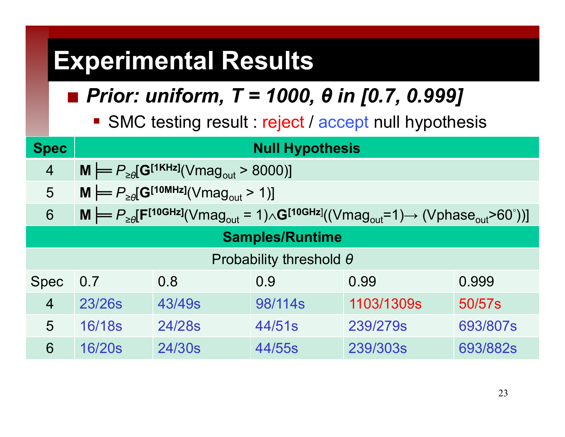#### *Prior: uniform, T = 1000, θ in [0.7, 0.999]*

SMC testing result : reject / accept null hypothesis

| <b>Spec</b>                    | <b>Null Hypothesis</b>                                                                                                                                                                          |                                                                                   |         |            |          |  |  |  |
|--------------------------------|-------------------------------------------------------------------------------------------------------------------------------------------------------------------------------------------------|-----------------------------------------------------------------------------------|---------|------------|----------|--|--|--|
| $\overline{4}$                 |                                                                                                                                                                                                 | $M \models P_{\geq \theta}[\mathbf{G}^{[1KHz]}(\text{Vmag}_{\text{out}} > 8000)]$ |         |            |          |  |  |  |
| 5                              | $M \models P_{\geq \theta}[\mathbf{G}^{[10MHz]}(\vee \text{mag}_{\text{out}} > 1)]$                                                                                                             |                                                                                   |         |            |          |  |  |  |
| 6                              | $M \models P_{\geq \theta}[\mathbf{F}^{[10GHz]}(\text{Vmag}_{\text{out}} = 1) \wedge \mathbf{G}^{[10GHz]}((\text{Vmag}_{\text{out}} = 1) \rightarrow (\text{Vphase}_{\text{out}} > 60^\circ))]$ |                                                                                   |         |            |          |  |  |  |
| <b>Samples/Runtime</b>         |                                                                                                                                                                                                 |                                                                                   |         |            |          |  |  |  |
| Probability threshold $\theta$ |                                                                                                                                                                                                 |                                                                                   |         |            |          |  |  |  |
| <b>Spec</b>                    | 0.8<br>0.9<br>0.999<br>0.99<br>0.7                                                                                                                                                              |                                                                                   |         |            |          |  |  |  |
| $\overline{4}$                 | 23/26s                                                                                                                                                                                          | 43/49s                                                                            | 98/114s | 1103/1309s | 50/57s   |  |  |  |
| 5                              | 16/18s                                                                                                                                                                                          | 24/28s                                                                            | 44/51s  | 239/279s   | 693/807s |  |  |  |
| 6                              | 16/20s                                                                                                                                                                                          | 24/30s                                                                            | 44/55s  | 239/303s   | 693/882s |  |  |  |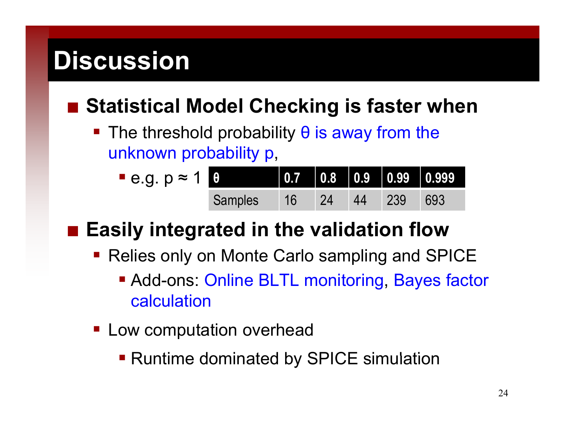## **Discussion**

#### ■ Statistical Model Checking is faster when

The threshold probability  $\theta$  is away from the unknown probability p,

| $-e.g. p \approx 1$ |         |        |  |               |  |
|---------------------|---------|--------|--|---------------|--|
|                     | Samples | / 16 / |  | 24 44 239 693 |  |

#### **Easily integrated in the validation flow**

- Relies only on Monte Carlo sampling and SPICE
	- Add-ons: Online BLTL monitoring, Bayes factor calculation
- **Low computation overhead** 
	- Runtime dominated by SPICE simulation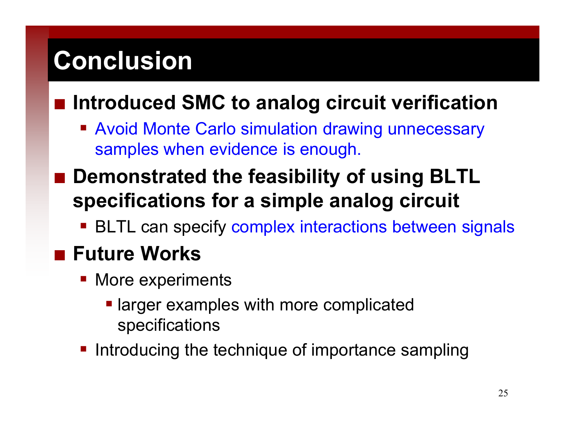## **Conclusion**

#### **Introduced SMC to analog circuit verification**

**E** Avoid Monte Carlo simulation drawing unnecessary samples when evidence is enough.

#### **■ Demonstrated the feasibility of using BLTL specifications for a simple analog circuit**

**BLTL can specify complex interactions between signals** 

#### **■ Future Works**

- **More experiments** 
	- larger examples with more complicated specifications
- Introducing the technique of importance sampling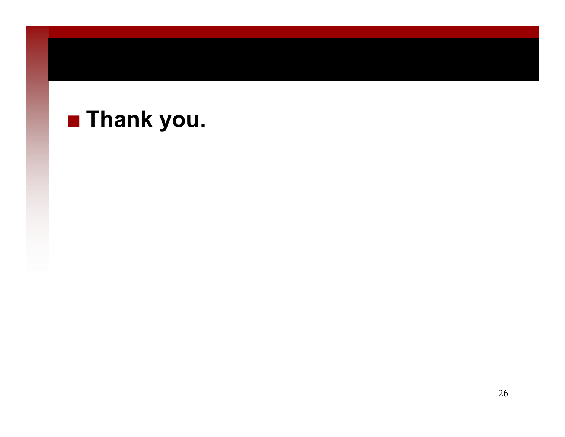#### **Thank you.**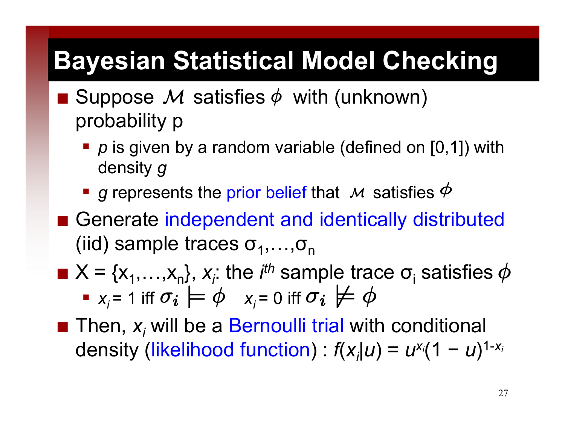## **Bayesian Statistical Model Checking**

- Suppose M satisfies  $\phi$  with (unknown) probability p
	- **P** p is given by a random variable (defined on [0,1]) with density *g*
	- $\blacksquare$  *g* represents the prior belief that  $M$  satisfies
- Generate independent and identically distributed (iid) sample traces  $\sigma_1, \ldots, \sigma_n$
- $\blacksquare$  X = { $x_1$ ,..., $x_n$ },  $x_i$ : the *i<sup>th</sup>* sample trace  $\sigma_i$  satisfies •  $x_i = 1$  iff  $\sigma_i \models \varphi \quad x_i = 0$  iff
- $\blacksquare$  Then,  $x_i$  will be a Bernoulli trial with conditional density (likelihood function) : *f*( *xi|u* ) = *uxi*(1 *y* (likelihood function) :  $f(x_i|u) = u^{x_i}(1-u)^{1-x_i}$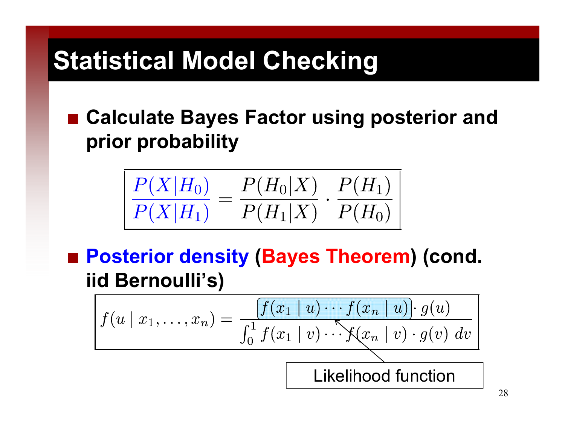# **Statistical Model Checking**

■ Calculate Bayes Factor using posterior and **pri b bilit ior pro abilit y**

$$
\frac{P(X|H_0)}{P(X|H_1)} = \frac{P(H_0|X)}{P(H_1|X)} \cdot \frac{P(H_1)}{P(H_0)}
$$

■ Posterior density (Bayes Theorem) (cond. **iid Bernoulli's)**

$$
f(u \mid x_1, \dots, x_n) = \frac{f(x_1 \mid u) \cdots f(x_n \mid u) \cdot g(u)}{\int_0^1 f(x_1 \mid v) \cdots f(x_n \mid v) \cdot g(v) dv}
$$
  
Likelihood function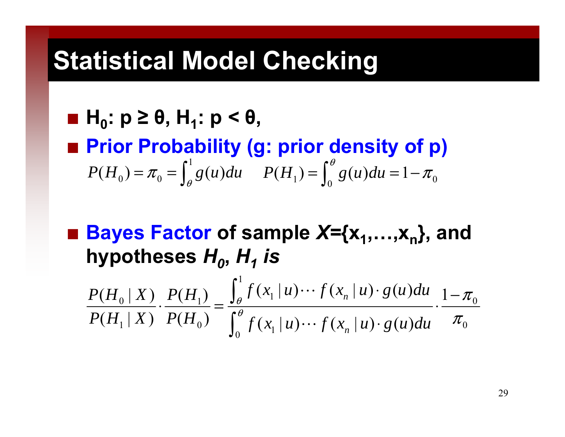### **Statistical Model Checking**

$$
\blacksquare \mathsf{H}_0: \mathsf{p} \geq \theta, \mathsf{H}_1: \mathsf{p} < \theta,
$$

 **Prior Probability (g: prior density of p)** 1  $P(H_0) = \pi_0 = \int_{\alpha} g(u) du$ θ $=$   $\pi_{\circ}$   $=$  $\int_{\theta}^{1} g(u) du$   $P(H_1) = \int_{0}^{\theta} g(u) du = 1 - \pi_0$  $\pi$ ∫

 **Bayes Factor of sample** *X=***{x 1,…,<sup>x</sup> n}, and**  hypotheses  $H_{o}$ ,  $H_{1}$  *is* 

1  $P(H_0|X) P(H_1)$   $\int_{\theta}^{1} f(x_1|u) \cdots f(x_n|u) \cdot g(u) du$   $1-\pi_0$  $\cdots$   $\int$   $\left( x_n \mid u \right)$   $\cdot$   $\int$   $\int$   $\left( u \right)$  $\mu$   $\mu$   $\left[ 1 - \pi \right]$  $P(H_1 | X) P(H_0)$   $\int_0^{\theta} f(x_1 | u) \cdots f(x_n | u) \cdot g(u) du$   $\pi_0$  $\cdot$   $\frac{1}{\sqrt{2}}$   $\frac{1}{\sqrt{2}}$   $\frac{1}{\sqrt{2}}$   $\frac{1}{\sqrt{2}}$   $\frac{1}{\sqrt{2}}$   $\frac{1}{\sqrt{2}}$   $\frac{1}{\sqrt{2}}$   $\frac{1}{\sqrt{2}}$   $\frac{1}{\sqrt{2}}$   $\frac{1}{\sqrt{2}}$   $\frac{1}{\sqrt{2}}$   $\frac{1}{\sqrt{2}}$   $\frac{1}{\sqrt{2}}$   $\frac{1}{\sqrt{2}}$   $\frac{1}{\sqrt{2}}$   $\frac{1}{\sqrt{2}}$   $\frac{1}{\sqrt$ ⋅ ∫ "

29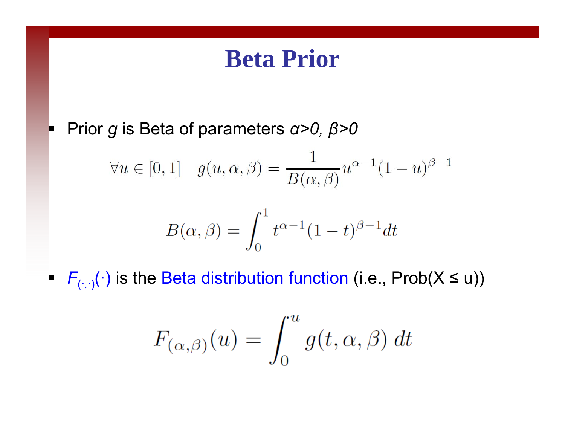#### **Beta Prior**

Prior *g* is Beta of parameters *α>0, β>0*

$$
\forall u \in [0,1] \quad g(u,\alpha,\beta) = \frac{1}{B(\alpha,\beta)} u^{\alpha-1} (1-u)^{\beta-1}
$$

$$
B(\alpha, \beta) = \int_0^1 t^{\alpha - 1} (1 - t)^{\beta - 1} dt
$$

*<sup>F</sup>*(·*,*·)(·) is the Beta distribution function (i.e., Prob(X ≤ u))

$$
F_{(\alpha,\beta)}(u) = \int_0^u g(t,\alpha,\beta) dt
$$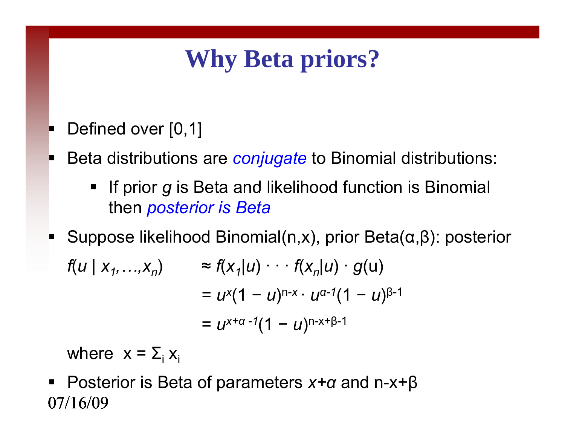## **Why Beta priors?**

- Defined over  $[0,1]$
- П Beta distributions are *conjugate* to Binomial distributions:
	- ٠ If prior *g* is Beta and likelihood function is Binomial then *posterior is Beta*
- $\blacksquare$ Suppose likelihood Binomial(n,x), prior Beta(α,β): posterior

$$
f(u \mid x_1,...,x_n) \approx f(x_1|u) \cdot \cdot \cdot f(x_n|u) \cdot g(u)
$$
  
=  $u^{x}(1-u)^{n-x} \cdot u^{\alpha-1}(1-u)^{\beta-1}$   
=  $u^{x+\alpha-1}(1-u)^{n-x+\beta-1}$ 

where  $x = \Sigma_i x_i$ 

07/16/09Posterior is Beta of parameters *x+<sup>α</sup>* and n-x+β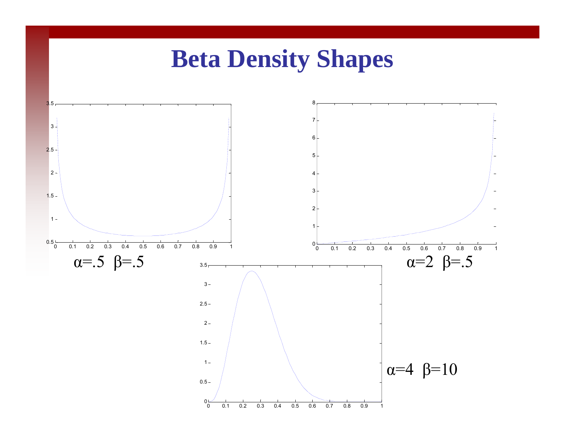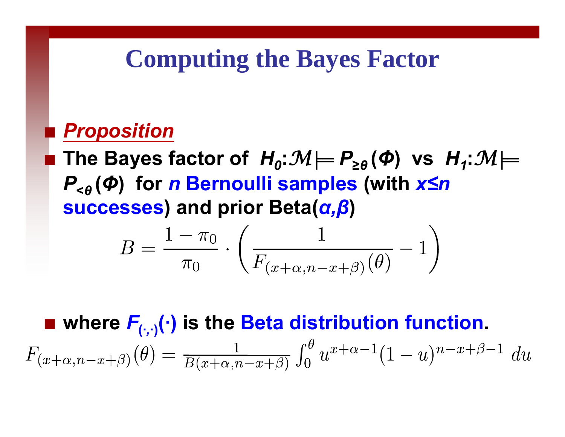### **Computing the Bayes Factor**

#### pin.<br>P *Proposition*

 $\blacksquare$  The Bayes factor of  $H_{0}$ : $\mathcal{M} \models P_{\geq \theta}(\mathbf{\Phi})$  vs  $H_{1}$ : $\mathcal{M} \models$ *P***<***θ***(** *Φ* **) for**  *n* **Bernoulli sam ples (with**  *x ≤ n* **successes) and prior Beta(** *α, β* **)**

$$
B = \frac{1 - \pi_0}{\pi_0} \cdot \left( \frac{1}{F_{(x + \alpha, n - x + \beta)}(\theta)} - 1 \right)
$$

 **where**  *<sup>F</sup>***(·***,***·)(·) is the Beta distribution function.** $F_{(x+\alpha,n-x+\beta)}(\theta) = \frac{1}{B(x+\alpha,n-x+\beta)} \int_0^{\theta} u^{x+\alpha-1} (1-u)^{n-x+\beta-1} du$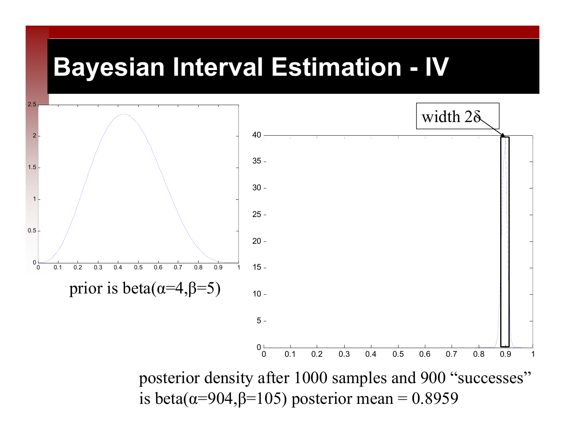### **Bayesian Interval Estimation - IV**



posterior density after 1000 samples and 900 "successes" is beta( $\alpha$ =904, $\beta$ =105) posterior mean = 0.8959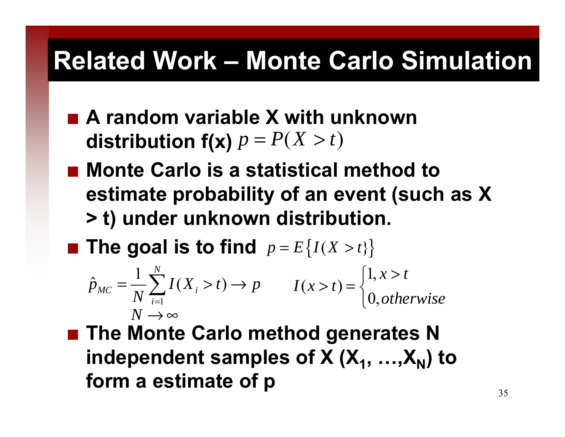### **Related Work – Monte Carlo Simulation**

- **A random variable X with unknown**   $P(X>t)$
- Monte Carlo is a statistical method to **estimate probability of an event (such as X > t) under unknown distribution.**
- $\blacksquare$  The goal is to find  $p = E\{I(X > t)\}$ =

$$
\hat{p}_{MC} = \frac{1}{N} \sum_{i=1}^{N} I(X_i > t) \to p \qquad I(x > t) = \begin{cases} 1, & x > t \\ 0, & \text{otherwise} \end{cases}
$$
\n
$$
N \to \infty
$$

■ The Monte Carlo method generates N **independent samples of X (X X ) to 1, …, N form a estimate of p** 35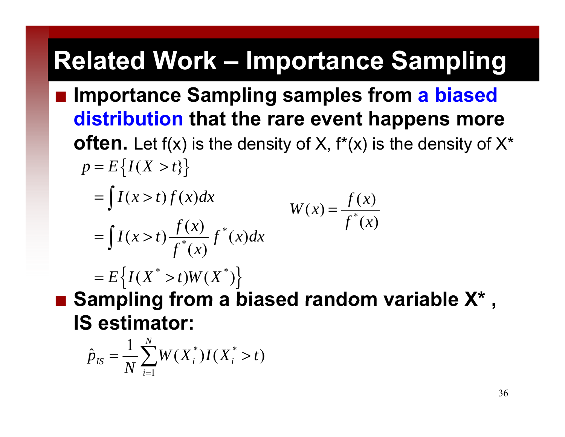# **Related Work – Importance Sampling**

- **Importance Sampling samples from a biased distribution that the rare event happens more** 
	- **often.** Let  $f(x)$  is the density of X,  $f^*(x)$  is the density of  $X^*$  $p = E\left\{I(X > t)\right\}$

\*

 $\int I(x > t) f(x) dx$  $f(x) = \frac{f(x)}{f^*(x)}$  $W(x) = \frac{f^{*}(x)}{f^{*}(x)}$ = \* \*  $(x > t) \frac{f(x)}{f^*(x)} f^*(x)$  $I(x > t) f(x) dx$  $I(x > t) \frac{J(x)}{a^*} f(x) dx$ *f*  $=$   $|I(x|)$  $\int I(x > t) \frac{J(x)}{f^*(x)}$ 

 $= E\left\{I(X^* > t)W(X^*)\right\}$ 

 **Sampling from <sup>a</sup> biased random variable X \***g from a biased random variable X<sup>\*</sup>, **IS estimator:**

$$
\hat{p}_{IS} = \frac{1}{N} \sum_{i=1}^{N} W(X_i^*) I(X_i^* > t)
$$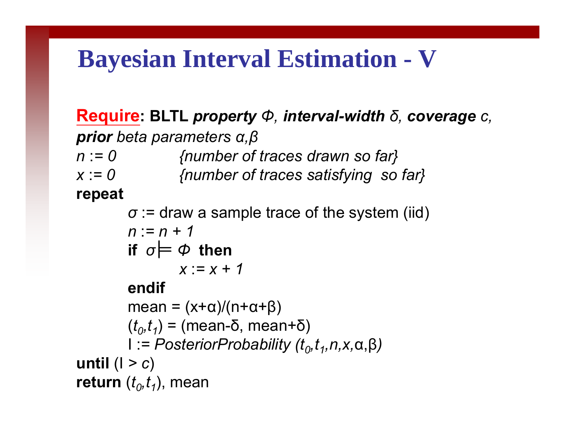### **Bayesian Interval Estimation - V**

**Require: BLTL** *property Φ, interval-width δ, coverage c, prior beta parameters <sup>α</sup>,β <sup>n</sup>*:*= 0 {number of traces drawn so far} <sup>x</sup>*:*= 0 {number of traces satisfying so far}* **repea t** *σ* := draw a sample trace of the system (iid) *n* :*= n + 1***if** *σ Φ* **then** *x* :*= x + 1***endif**mean = (x+α)/(n+α+β) ( *t 0,t 1*) = (mean-δ, mean+ δ ) I :*= PosteriorProbability (t 0,t 1,n,x,* <sup>α</sup>,β*)* **until** (I *> c* )

**return**  ( *t 0,t 1*), mean